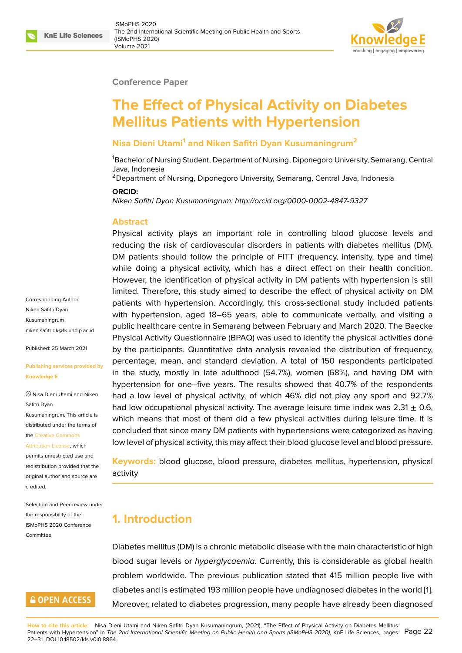#### **Conference Paper**

# **The Effect of Physical Activity on Diabetes Mellitus Patients with Hypertension**

#### **Nisa Dieni Utami<sup>1</sup> and Niken Safitri Dyan Kusumaningrum<sup>2</sup>**

<sup>1</sup>Bachelor of Nursing Student, Department of Nursing, Diponegoro University, Semarang, Central Java, Indonesia

<sup>2</sup>Department of Nursing, Diponegoro University, Semarang, Central Java, Indonesia

#### **ORCID:**

*Niken Safitri Dyan Kusumaningrum: http://orcid.org/0000-0002-4847-9327*

#### **Abstract**

Physical activity plays an important role in controlling blood glucose levels and reducing the risk of cardiovascu[lar disorders in patients with diabe](http://orcid.org/0000-0002-4847-9327)tes mellitus (DM). DM patients should follow the principle of FITT (frequency, intensity, type and time) while doing a physical activity, which has a direct effect on their health condition. However, the identification of physical activity in DM patients with hypertension is still limited. Therefore, this study aimed to describe the effect of physical activity on DM patients with hypertension. Accordingly, this cross-sectional study included patients with hypertension, aged 18–65 years, able to communicate verbally, and visiting a public healthcare centre in Semarang between February and March 2020. The Baecke Physical Activity Questionnaire (BPAQ) was used to identify the physical activities done by the participants. Quantitative data analysis revealed the distribution of frequency, percentage, mean, and standard deviation. A total of 150 respondents participated in the study, mostly in late adulthood (54.7%), women (68%), and having DM with hypertension for one–five years. The results showed that 40.7% of the respondents had a low level of physical activity, of which 46% did not play any sport and 92.7% had low occupational physical activity. The average leisure time index was  $2.31 \pm 0.6$ , which means that most of them did a few physical activities during leisure time. It is concluded that since many DM patients with hypertensions were categorized as having low level of physical activity, this may affect their blood glucose level and blood pressure.

**Keywords:** blood glucose, blood pressure, diabetes mellitus, hypertension, physical activity

## **1. Introduction**

Diabetes mellitus (DM) is a chronic metabolic disease with the main characteristic of high blood sugar levels or *hyperglycaemia*. Currently, this is considerable as global health problem worldwide. The previous publication stated that 415 million people live with diabetes and is estimated 193 million people have undiagnosed diabetes in the world [1]. Moreover, related to diabetes progression, many people have already been diagnosed

Corresponding Author: Niken Safitri Dyan Kusumaningrum niken.safitridk@fk.undip.ac.id

Published: 25 March 2021

**[Publishing services provided](mailto:niken.safitridk@fk.undip.ac.id) by Knowledge E**

Nisa Dieni Utami and Niken Safitri Dyan Kusumaningrum. This article is distributed under the terms of the Creative Commons Attribution License, which

permits unrestricted use and redistribution provided that the orig[inal author and sou](https://creativecommons.org/licenses/by/4.0/)rce are [credited.](https://creativecommons.org/licenses/by/4.0/)

Selection and Peer-review under the responsibility of the ISMoPHS 2020 Conference **Committee** 

# **GOPEN ACCESS**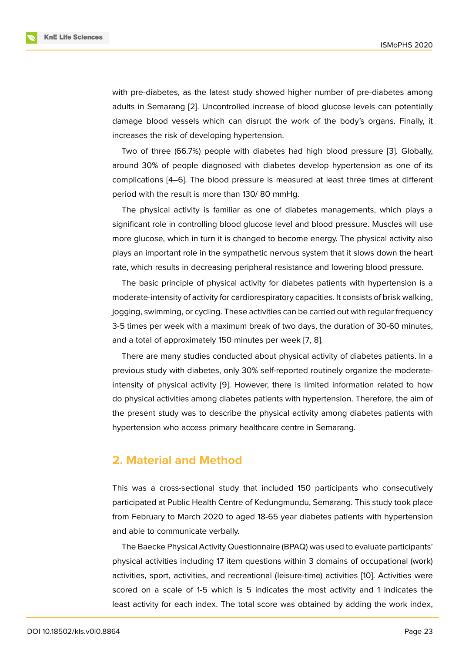with pre-diabetes, as the latest study showed higher number of pre-diabetes among adults in Semarang [2]. Uncontrolled increase of blood glucose levels can potentially damage blood vessels which can disrupt the work of the body's organs. Finally, it increases the risk of developing hypertension.

Two of three (66.[7%](#page-7-1)) people with diabetes had high blood pressure [3]. Globally, around 30% of people diagnosed with diabetes develop hypertension as one of its complications [4–6]. The blood pressure is measured at least three times at different period with the result is more than 130/ 80 mmHg.

The physical activity is familiar as one of diabetes managements, which plays a significant role in controlling blood glucose level and blood pressure. Muscles will use more glucose, which in turn it is changed to become energy. The physical activity also plays an important role in the sympathetic nervous system that it slows down the heart rate, which results in decreasing peripheral resistance and lowering blood pressure.

The basic principle of physical activity for diabetes patients with hypertension is a moderate-intensity of activity for cardiorespiratory capacities. It consists of brisk walking, jogging, swimming, or cycling. These activities can be carried out with regular frequency 3-5 times per week with a maximum break of two days, the duration of 30-60 minutes, and a total of approximately 150 minutes per week [7, 8].

There are many studies conducted about physical activity of diabetes patients. In a previous study with diabetes, only 30% self-reported routinely organize the moderateintensity of physical activity [9]. However, there is [lim](#page-8-0)[it](#page-8-1)ed information related to how do physical activities among diabetes patients with hypertension. Therefore, the aim of the present study was to describe the physical activity among diabetes patients with hypertension who access pri[ma](#page-8-2)ry healthcare centre in Semarang.

## **2. Material and Method**

This was a cross-sectional study that included 150 participants who consecutively participated at Public Health Centre of Kedungmundu, Semarang. This study took place from February to March 2020 to aged 18-65 year diabetes patients with hypertension and able to communicate verbally.

The Baecke Physical Activity Questionnaire (BPAQ) was used to evaluate participants' physical activities including 17 item questions within 3 domains of occupational (work) activities, sport, activities, and recreational (leisure-time) activities [10]. Activities were scored on a scale of 1-5 which is 5 indicates the most activity and 1 indicates the least activity for each index. The total score was obtained by adding the work index,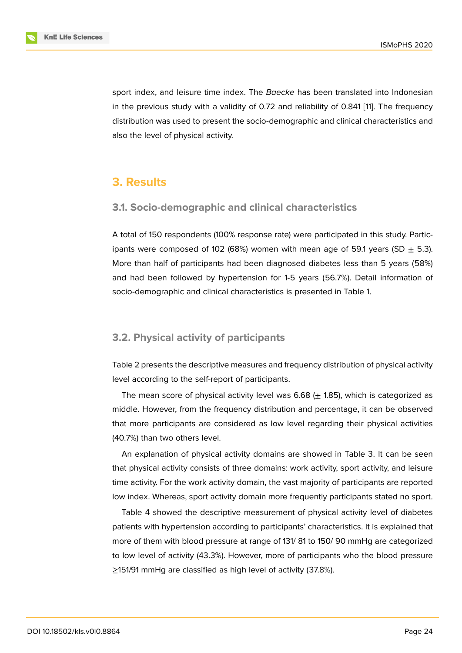sport index, and leisure time index. The *Baecke* has been translated into Indonesian in the previous study with a validity of 0.72 and reliability of 0.841 [11]. The frequency distribution was used to present the socio-demographic and clinical characteristics and also the level of physical activity.

## **3. Results**

#### **3.1. Socio-demographic and clinical characteristics**

A total of 150 respondents (100% response rate) were participated in this study. Participants were composed of 102 (68%) women with mean age of 59.1 years (SD  $\pm$  5.3). More than half of participants had been diagnosed diabetes less than 5 years (58%) and had been followed by hypertension for 1-5 years (56.7%). Detail information of socio-demographic and clinical characteristics is presented in Table 1.

#### **3.2. Physical activity of participants**

Table 2 presents the descriptive measures and frequency distribution of physical activity level according to the self-report of participants.

The mean score of physical activity level was  $6.68$  ( $\pm$  1.85), which is categorized as middle. However, from the frequency distribution and percentage, it can be observed that more participants are considered as low level regarding their physical activities (40.7%) than two others level.

An explanation of physical activity domains are showed in Table 3. It can be seen that physical activity consists of three domains: work activity, sport activity, and leisure time activity. For the work activity domain, the vast majority of participants are reported low index. Whereas, sport activity domain more frequently participants stated no sport.

Table 4 showed the descriptive measurement of physical activity level of diabetes patients with hypertension according to participants' characteristics. It is explained that more of them with blood pressure at range of 131/ 81 to 150/ 90 mmHg are categorized to low level of activity (43.3%). However, more of participants who the blood pressure ≥151/91 mmHg are classified as high level of activity (37.8%).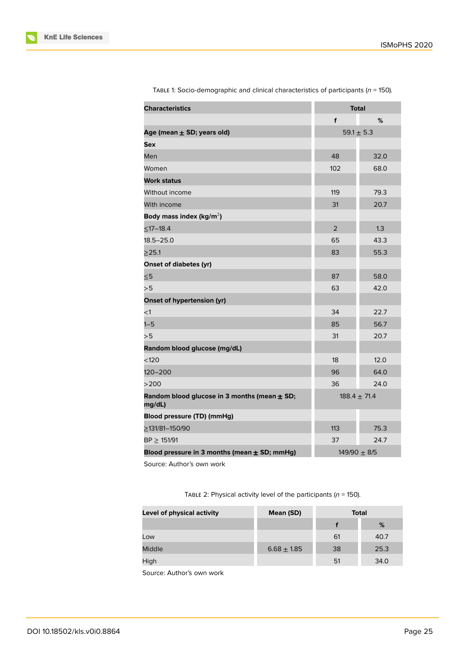| <b>Characteristics</b>                                     | <b>Total</b>     |      |
|------------------------------------------------------------|------------------|------|
|                                                            | f                | %    |
| Age (mean $\pm$ SD; years old)                             | $59.1 \pm 5.3$   |      |
| <b>Sex</b>                                                 |                  |      |
| Men                                                        | 48               | 32.0 |
| Women                                                      | 102              | 68.0 |
| <b>Work status</b>                                         |                  |      |
| Without income                                             | 119              | 79.3 |
| With income                                                | 31               | 20.7 |
| Body mass index (kg/m <sup>2</sup> )                       |                  |      |
| $<$ 17-18.4                                                | $\overline{2}$   | 1.3  |
| $18.5 - 25.0$                                              | 65               | 43.3 |
| >25.1                                                      | 83               | 55.3 |
| <b>Onset of diabetes (yr)</b>                              |                  |      |
| $\leq 5$                                                   | 87               | 58.0 |
| >5                                                         | 63               | 42.0 |
| Onset of hypertension (yr)                                 |                  |      |
| $\leq$ 1                                                   | 34               | 22.7 |
| $1 - 5$                                                    | 85               | 56.7 |
| > 5                                                        | 31               | 20.7 |
| Random blood glucose (mg/dL)                               |                  |      |
| < 120                                                      | 18               | 12.0 |
| $120 - 200$                                                | 96               | 64.0 |
| >200                                                       | 36               | 24.0 |
| Random blood glucose in 3 months (mean $\pm$ SD;<br>mg/dL) | $188.4 \pm 71.4$ |      |
| Blood pressure (TD) (mmHg)                                 |                  |      |
| >131/81-150/90                                             | 113              | 75.3 |
| BP > 151/91                                                | 37               | 24.7 |
| Blood pressure in 3 months (mean $\pm$ SD; mmHg)           | $149/90 + 8/5$   |      |

TABLE 1: Socio-demographic and clinical characteristics of participants (*n* = 150).

Source: Author's own work

TABLE 2: Physical activity level of the participants (*n* = 150).

| Level of physical activity | Mean (SD)       | <b>Total</b> |      |  |
|----------------------------|-----------------|--------------|------|--|
|                            |                 |              | %    |  |
| Low                        |                 | 61           | 40.7 |  |
| <b>Middle</b>              | $6.68 \pm 1.85$ | 38           | 25.3 |  |
| High                       |                 | 51           | 34.0 |  |

Source: Author's own work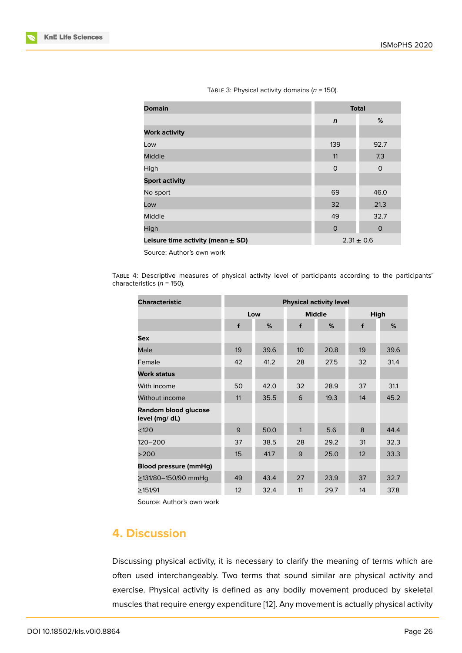| Гавце 3: Physical activity domains ( $n$ = 150). |  |  |  |  |
|--------------------------------------------------|--|--|--|--|
|--------------------------------------------------|--|--|--|--|

| <b>Domain</b>                         | <b>Total</b>   |          |
|---------------------------------------|----------------|----------|
|                                       | $\mathbf n$    | %        |
| <b>Work activity</b>                  |                |          |
| Low                                   | 139            | 92.7     |
| <b>Middle</b>                         | 11             | 7.3      |
| High                                  | $\circ$        | $\Omega$ |
| <b>Sport activity</b>                 |                |          |
| No sport                              | 69             | 46.0     |
| Low                                   | 32             | 21.3     |
| Middle                                | 49             | 32.7     |
| High                                  | $\mathbf 0$    | $\circ$  |
| Leisure time activity (mean $\pm$ SD) | $2.31 \pm 0.6$ |          |

Source: Author's own work

TABLE 4: Descriptive measures of physical activity level of participants according to the participants' characteristics (*n* = 150).

| <b>Characteristic</b>                  | <b>Physical activity level</b> |      |                 |      |      |      |
|----------------------------------------|--------------------------------|------|-----------------|------|------|------|
|                                        | Low                            |      | <b>Middle</b>   |      | High |      |
|                                        | f                              | %    | f               | %    | f    | %    |
| Sex                                    |                                |      |                 |      |      |      |
| Male                                   | 19                             | 39.6 | 10 <sup>°</sup> | 20.8 | 19   | 39.6 |
| Female                                 | 42                             | 41.2 | 28              | 27.5 | 32   | 31.4 |
| <b>Work status</b>                     |                                |      |                 |      |      |      |
| With income                            | 50                             | 42.0 | 32              | 28.9 | 37   | 31.1 |
| Without income                         | 11                             | 35.5 | 6               | 19.3 | 14   | 45.2 |
| Random blood glucose<br>level (mg/ dL) |                                |      |                 |      |      |      |
| < 120                                  | 9                              | 50.0 | $\mathbf{1}$    | 5.6  | 8    | 44.4 |
| 120-200                                | 37                             | 38.5 | 28              | 29.2 | 31   | 32.3 |
| >200                                   | 15                             | 41.7 | 9               | 25.0 | 12   | 33.3 |
| <b>Blood pressure (mmHg)</b>           |                                |      |                 |      |      |      |
| ≥131/80–150/90 mmHq                    | 49                             | 43.4 | 27              | 23.9 | 37   | 32.7 |
| >151/91                                | 12                             | 32.4 | 11              | 29.7 | 14   | 37.8 |

Source: Author's own work

# **4. Discussion**

Discussing physical activity, it is necessary to clarify the meaning of terms which are often used interchangeably. Two terms that sound similar are physical activity and exercise. Physical activity is defined as any bodily movement produced by skeletal muscles that require energy expenditure [12]. Any movement is actually physical activity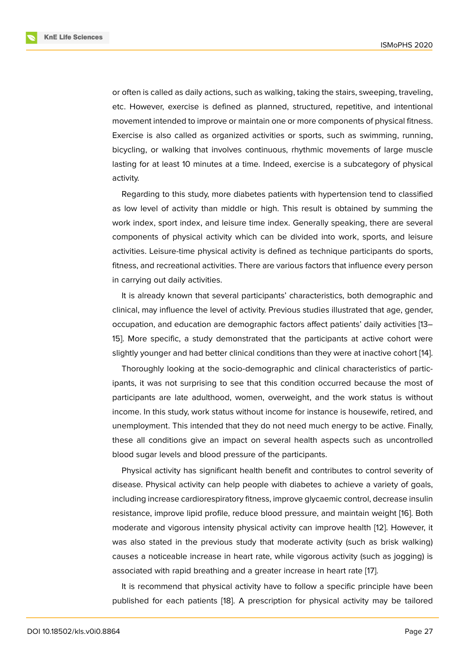or often is called as daily actions, such as walking, taking the stairs, sweeping, traveling, etc. However, exercise is defined as planned, structured, repetitive, and intentional movement intended to improve or maintain one or more components of physical fitness. Exercise is also called as organized activities or sports, such as swimming, running, bicycling, or walking that involves continuous, rhythmic movements of large muscle lasting for at least 10 minutes at a time. Indeed, exercise is a subcategory of physical activity.

Regarding to this study, more diabetes patients with hypertension tend to classified as low level of activity than middle or high. This result is obtained by summing the work index, sport index, and leisure time index. Generally speaking, there are several components of physical activity which can be divided into work, sports, and leisure activities. Leisure-time physical activity is defined as technique participants do sports, fitness, and recreational activities. There are various factors that influence every person in carrying out daily activities.

It is already known that several participants' characteristics, both demographic and clinical, may influence the level of activity. Previous studies illustrated that age, gender, occupation, and education are demographic factors affect patients' daily activities [13– 15]. More specific, a study demonstrated that the participants at active cohort were slightly younger and had better clinical conditions than they were at inactive cohort [14].

Thoroughly looking at the socio-demographic and clinical characteristics of participants, it was not surprising to see that this condition occurred because the most of participants are late adulthood, women, overweight, and the work status is with[ou](#page-8-3)t income. In this study, work status without income for instance is housewife, retired, and unemployment. This intended that they do not need much energy to be active. Finally, these all conditions give an impact on several health aspects such as uncontrolled blood sugar levels and blood pressure of the participants.

Physical activity has significant health benefit and contributes to control severity of disease. Physical activity can help people with diabetes to achieve a variety of goals, including increase cardiorespiratory fitness, improve glycaemic control, decrease insulin resistance, improve lipid profile, reduce blood pressure, and maintain weight [16]. Both moderate and vigorous intensity physical activity can improve health [12]. However, it was also stated in the previous study that moderate activity (such as brisk walking) causes a noticeable increase in heart rate, while vigorous activity (such as jo[gg](#page-8-4)ing) is associated with rapid breathing and a greater increase in heart rate [17[\].](#page-8-5)

It is recommend that physical activity have to follow a specific principle have been published for each patients [18]. A prescription for physical activity may be tailored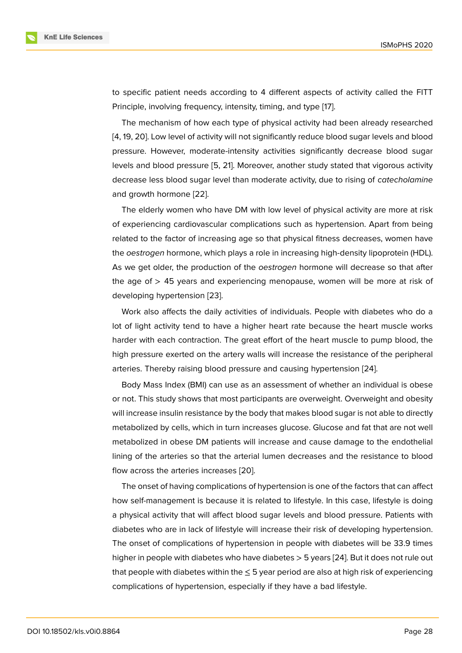to specific patient needs according to 4 different aspects of activity called the FITT Principle, involving frequency, intensity, timing, and type [17].

The mechanism of how each type of physical activity had been already researched [4, 19, 20]. Low level of activity will not significantly reduce blood sugar levels and blood pressure. However, moderate-intensity activities signifi[can](#page-9-0)tly decrease blood sugar levels and blood pressure [5, 21]. Moreover, another study stated that vigorous activity [de](#page-8-6)[cre](#page-9-1)[ase](#page-9-2) less blood sugar level than moderate activity, due to rising of *catecholamine* and growth hormone [22].

The elderly women who [h](#page-8-7)[ave](#page-9-3) DM with low level of physical activity are more at risk of experiencing cardiovascular complications such as hypertension. Apart from being related to the factor o[f in](#page-9-4)creasing age so that physical fitness decreases, women have the *oestrogen* hormone, which plays a role in increasing high-density lipoprotein (HDL). As we get older, the production of the *oestrogen* hormone will decrease so that after the age of  $>$  45 years and experiencing menopause, women will be more at risk of developing hypertension [23].

Work also affects the daily activities of individuals. People with diabetes who do a lot of light activity tend to have a higher heart rate because the heart muscle works harder with each contract[ion](#page-9-5). The great effort of the heart muscle to pump blood, the high pressure exerted on the artery walls will increase the resistance of the peripheral arteries. Thereby raising blood pressure and causing hypertension [24].

Body Mass Index (BMI) can use as an assessment of whether an individual is obese or not. This study shows that most participants are overweight. Overweight and obesity will increase insulin resistance by the body that makes blood sugar is [no](#page-9-6)t able to directly metabolized by cells, which in turn increases glucose. Glucose and fat that are not well metabolized in obese DM patients will increase and cause damage to the endothelial lining of the arteries so that the arterial lumen decreases and the resistance to blood flow across the arteries increases [20].

The onset of having complications of hypertension is one of the factors that can affect how self-management is because it is related to lifestyle. In this case, lifestyle is doing a physical activity that will affect b[loo](#page-9-2)d sugar levels and blood pressure. Patients with diabetes who are in lack of lifestyle will increase their risk of developing hypertension. The onset of complications of hypertension in people with diabetes will be 33.9 times higher in people with diabetes who have diabetes > 5 years [24]. But it does not rule out that people with diabetes within the  $\leq$  5 year period are also at high risk of experiencing complications of hypertension, especially if they have a bad lifestyle.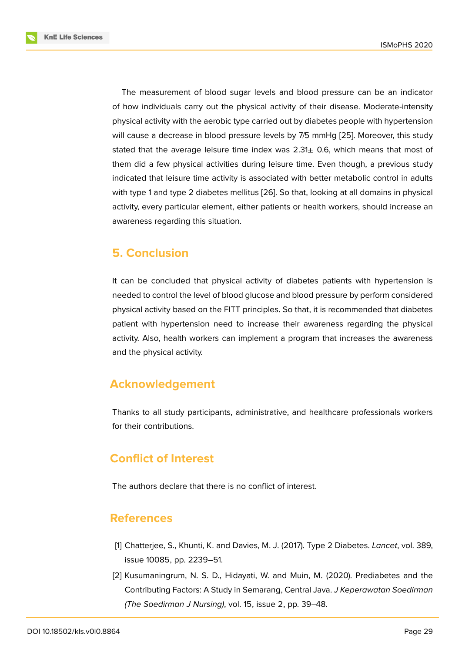The measurement of blood sugar levels and blood pressure can be an indicator of how individuals carry out the physical activity of their disease. Moderate-intensity physical activity with the aerobic type carried out by diabetes people with hypertension will cause a decrease in blood pressure levels by 7/5 mmHg [25]. Moreover, this study stated that the average leisure time index was  $2.31<sub>\pm</sub>$  0.6, which means that most of them did a few physical activities during leisure time. Even though, a previous study indicated that leisure time activity is associated with better m[eta](#page-9-7)bolic control in adults with type 1 and type 2 diabetes mellitus [26]. So that, looking at all domains in physical activity, every particular element, either patients or health workers, should increase an awareness regarding this situation.

## **5. Conclusion**

It can be concluded that physical activity of diabetes patients with hypertension is needed to control the level of blood glucose and blood pressure by perform considered physical activity based on the FITT principles. So that, it is recommended that diabetes patient with hypertension need to increase their awareness regarding the physical activity. Also, health workers can implement a program that increases the awareness and the physical activity.

# **Acknowledgement**

Thanks to all study participants, administrative, and healthcare professionals workers for their contributions.

# **Conflict of Interest**

The authors declare that there is no conflict of interest.

## **References**

- [1] Chatterjee, S., Khunti, K. and Davies, M. J. (2017). Type 2 Diabetes. *Lancet*, vol. 389, issue 10085, pp. 2239–51.
- <span id="page-7-1"></span><span id="page-7-0"></span>[2] Kusumaningrum, N. S. D., Hidayati, W. and Muin, M. (2020). Prediabetes and the Contributing Factors: A Study in Semarang, Central Java. *J Keperawatan Soedirman (The Soedirman J Nursing)*, vol. 15, issue 2, pp. 39–48.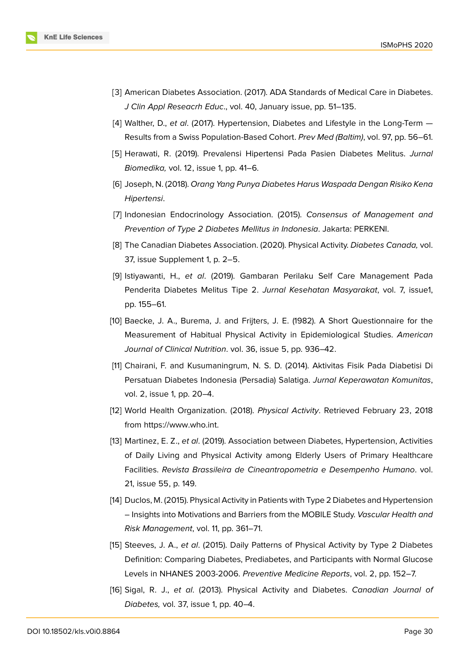- [3] American Diabetes Association. (2017). ADA Standards of Medical Care in Diabetes. *J Clin Appl Reseacrh Educ*., vol. 40, January issue, pp. 51–135.
- [4] Walther, D., *et al*. (2017). Hypertension, Diabetes and Lifestyle in the Long-Term Results from a Swiss Population-Based Cohort. *Prev Med (Baltim)*, vol. 97, pp. 56–61.
- <span id="page-8-6"></span>[5] Herawati, R. (2019). Prevalensi Hipertensi Pada Pasien Diabetes Melitus. *Jurnal Biomedika,* vol. 12, issue 1, pp. 41–6.
- <span id="page-8-7"></span>[6] Joseph, N. (2018). *Orang Yang Punya Diabetes Harus Waspada Dengan Risiko Kena Hipertensi*.
- [7] Indonesian Endocrinology Association. (2015). *Consensus of Management and Prevention of Type 2 Diabetes Mellitus in Indonesia*. Jakarta: PERKENI.
- <span id="page-8-0"></span>[8] The Canadian Diabetes Association. (2020). Physical Activity. *Diabetes Canada,* vol. 37, issue Supplement 1, p. 2–5.
- <span id="page-8-1"></span>[9] Istiyawanti, H., *et al*. (2019). Gambaran Perilaku Self Care Management Pada Penderita Diabetes Melitus Tipe 2. *Jurnal Kesehatan Masyarakat*, vol. 7, issue1, pp. 155–61.
- <span id="page-8-2"></span>[10] Baecke, J. A., Burema, J. and Frijters, J. E. (1982). A Short Questionnaire for the Measurement of Habitual Physical Activity in Epidemiological Studies. *American Journal of Clinical Nutrition*. vol. 36, issue 5, pp. 936–42.
- [11] Chairani, F. and Kusumaningrum, N. S. D. (2014). Aktivitas Fisik Pada Diabetisi Di Persatuan Diabetes Indonesia (Persadia) Salatiga. *Jurnal Keperawatan Komunitas*, vol. 2, issue 1, pp. 20–4.
- [12] World Health Organization. (2018). *Physical Activity*. Retrieved February 23, 2018 from https://www.who.int.
- <span id="page-8-5"></span>[13] Martinez, E. Z., *et al*. (2019). Association between Diabetes, Hypertension, Activities of Daily Living and Physical Activity among Elderly Users of Primary Healthcare Facilities. *[Revista Brassile](https://www.who.int.)ira de Cineantropometria e Desempenho Humano*. vol. 21, issue 55, p. 149.
- [14] Duclos, M. (2015). Physical Activity in Patients with Type 2 Diabetes and Hypertension – Insights into Motivations and Barriers from the MOBILE Study. *Vascular Health and Risk Management*, vol. 11, pp. 361–71.
- <span id="page-8-3"></span>[15] Steeves, J. A., *et al*. (2015). Daily Patterns of Physical Activity by Type 2 Diabetes Definition: Comparing Diabetes, Prediabetes, and Participants with Normal Glucose Levels in NHANES 2003-2006. *Preventive Medicine Reports*, vol. 2, pp. 152–7.
- <span id="page-8-4"></span>[16] Sigal, R. J., *et al*. (2013). Physical Activity and Diabetes. *Canadian Journal of Diabetes,* vol. 37, issue 1, pp. 40–4.